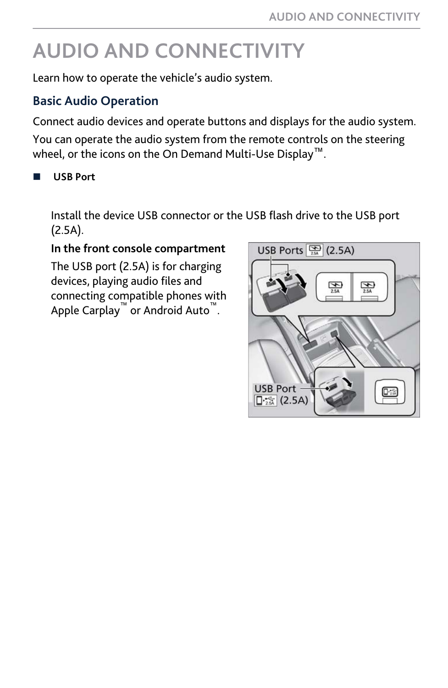# **AUDIO AND CONNECTIVITY**

Learn how to operate the vehicle's audio system.

#### **Basic Audio Operation**

Connect audio devices and operate buttons and displays for the audio system.

You can operate the audio system from the remote controls on the steering wheel, or the icons on the On Demand Multi-Use Display™.

n **USB Port**

Install the device USB connector or the USB flash drive to the USB port (2.5A).

#### **In the front console compartment**

The USB port (2.5A) is for charging devices, playing audio files and connecting compatible phones with Apple Carplay™ or Android Auto™ .

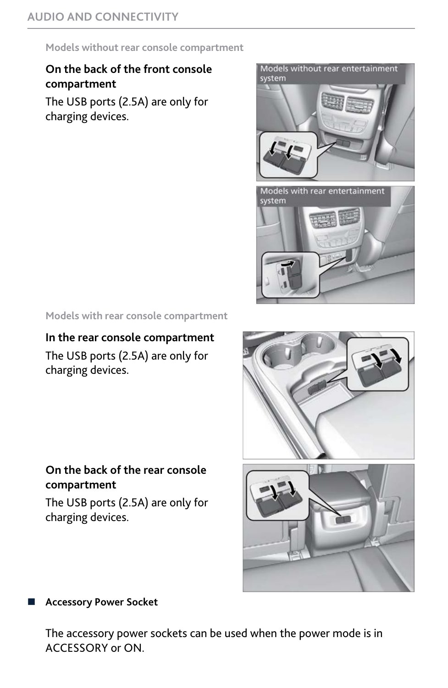**Models without rear console compartment**

#### **On the back of the front console compartment**

The USB ports (2.5A) are only for charging devices.



**Models with rear console compartment**

# **In the rear console compartment** The USB ports (2.5A) are only for charging devices.

#### **On the back of the rear console compartment**

The USB ports (2.5A) are only for charging devices.



#### n **Accessory Power Socket**

The accessory power sockets can be used when the power mode is in ACCESSORY or ON.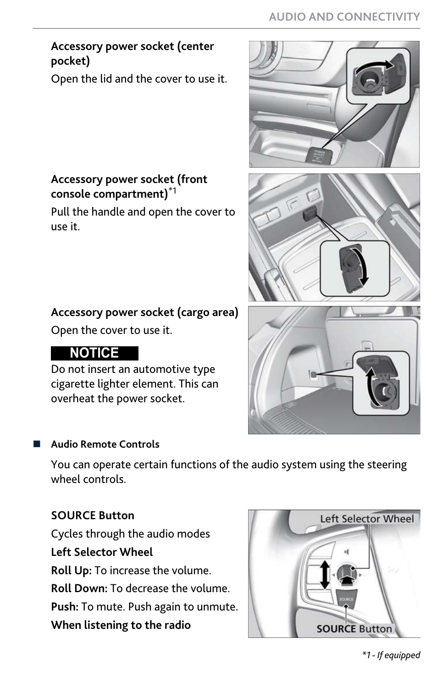# **Accessory power socket (center pocket)**

Open the lid and the cover to use it.

#### **Accessory power socket (front console compartment)**\*1

Pull the handle and open the cover to use it.

# **Accessory power socket (cargo area)**

Open the cover to use it.

# **NOTICE**

Do not insert an automotive type cigarette lighter element. This can overheat the power socket.

#### **Audio Remote Controls**

You can operate certain functions of the audio system using the steering wheel controls.

# **SOURCE Button**

Cycles through the audio modes **Left Selector Wheel Roll Up:** To increase the volume. **Roll Down:** To decrease the volume. **Push:** To mute. Push again to unmute. **When listening to the radio**